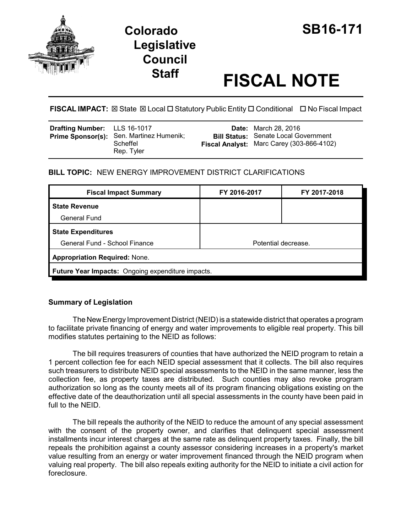



# **Staff FISCAL NOTE**

**FISCAL IMPACT:** ⊠ State ⊠ Local □ Statutory Public Entity □ Conditional □ No Fiscal Impact

| <b>Drafting Number:</b> LLS 16-1017<br>Prime Sponsor(s): Sen. Martinez Humenik;<br>Scheffel | Rep. Tyler |  | <b>Date:</b> March 28, 2016<br><b>Bill Status:</b> Senate Local Government<br>Fiscal Analyst: Marc Carey (303-866-4102) |
|---------------------------------------------------------------------------------------------|------------|--|-------------------------------------------------------------------------------------------------------------------------|
|---------------------------------------------------------------------------------------------|------------|--|-------------------------------------------------------------------------------------------------------------------------|

## **BILL TOPIC:** NEW ENERGY IMPROVEMENT DISTRICT CLARIFICATIONS

| FY 2016-2017                                      | FY 2017-2018 |  |  |  |
|---------------------------------------------------|--------------|--|--|--|
|                                                   |              |  |  |  |
|                                                   |              |  |  |  |
|                                                   |              |  |  |  |
| Potential decrease.                               |              |  |  |  |
| <b>Appropriation Required: None.</b>              |              |  |  |  |
| Future Year Impacts: Ongoing expenditure impacts. |              |  |  |  |
|                                                   |              |  |  |  |

## **Summary of Legislation**

The New Energy Improvement District (NEID) is a statewide district that operates a program to facilitate private financing of energy and water improvements to eligible real property. This bill modifies statutes pertaining to the NEID as follows:

The bill requires treasurers of counties that have authorized the NEID program to retain a 1 percent collection fee for each NEID special assessment that it collects. The bill also requires such treasurers to distribute NEID special assessments to the NEID in the same manner, less the collection fee, as property taxes are distributed. Such counties may also revoke program authorization so long as the county meets all of its program financing obligations existing on the effective date of the deauthorization until all special assessments in the county have been paid in full to the NEID.

The bill repeals the authority of the NEID to reduce the amount of any special assessment with the consent of the property owner, and clarifies that delinquent special assessment installments incur interest charges at the same rate as delinquent property taxes. Finally, the bill repeals the prohibition against a county assessor considering increases in a property's market value resulting from an energy or water improvement financed through the NEID program when valuing real property. The bill also repeals exiting authority for the NEID to initiate a civil action for foreclosure.